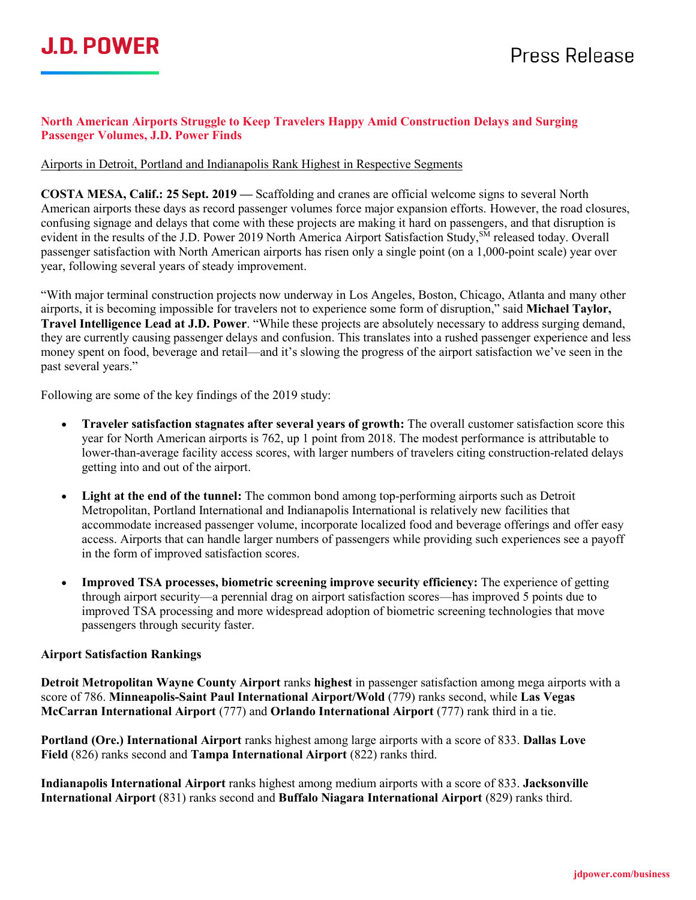## **North American Airports Struggle to Keep Travelers Happy Amid Construction Delays and Surging Passenger Volumes, J.D. Power Finds**

Airports in Detroit, Portland and Indianapolis Rank Highest in Respective Segments

**COSTA MESA, Calif.: 25 Sept. 2019 —** Scaffolding and cranes are official welcome signs to several North American airports these days as record passenger volumes force major expansion efforts. However, the road closures, confusing signage and delays that come with these projects are making it hard on passengers, and that disruption is evident in the results of the J.D. Power 2019 North America Airport Satisfaction Study, SM released today. Overall passenger satisfaction with North American airports has risen only a single point (on a 1,000-point scale) year over year, following several years of steady improvement.

"With major terminal construction projects now underway in Los Angeles, Boston, Chicago, Atlanta and many other airports, it is becoming impossible for travelers not to experience some form of disruption," said **Michael Taylor, Travel Intelligence Lead at J.D. Power**. "While these projects are absolutely necessary to address surging demand, they are currently causing passenger delays and confusion. This translates into a rushed passenger experience and less money spent on food, beverage and retail—and it's slowing the progress of the airport satisfaction we've seen in the past several years."

Following are some of the key findings of the 2019 study:

- **Traveler satisfaction stagnates after several years of growth:** The overall customer satisfaction score this year for North American airports is 762, up 1 point from 2018. The modest performance is attributable to lower-than-average facility access scores, with larger numbers of travelers citing construction-related delays getting into and out of the airport.
- **Light at the end of the tunnel:** The common bond among top-performing airports such as Detroit Metropolitan, Portland International and Indianapolis International is relatively new facilities that accommodate increased passenger volume, incorporate localized food and beverage offerings and offer easy access. Airports that can handle larger numbers of passengers while providing such experiences see a payoff in the form of improved satisfaction scores.
- **Improved TSA processes, biometric screening improve security efficiency:** The experience of getting through airport security—a perennial drag on airport satisfaction scores—has improved 5 points due to improved TSA processing and more widespread adoption of biometric screening technologies that move passengers through security faster.

## **Airport Satisfaction Rankings**

**Detroit Metropolitan Wayne County Airport** ranks **highest** in passenger satisfaction among mega airports with a score of 786. **Minneapolis-Saint Paul International Airport/Wold** (779) ranks second, while **Las Vegas McCarran International Airport** (777) and **Orlando International Airport** (777) rank third in a tie.

**Portland (Ore.) International Airport** ranks highest among large airports with a score of 833. **Dallas Love Field** (826) ranks second and **Tampa International Airport** (822) ranks third.

**Indianapolis International Airport** ranks highest among medium airports with a score of 833. **Jacksonville International Airport** (831) ranks second and **Buffalo Niagara International Airport** (829) ranks third.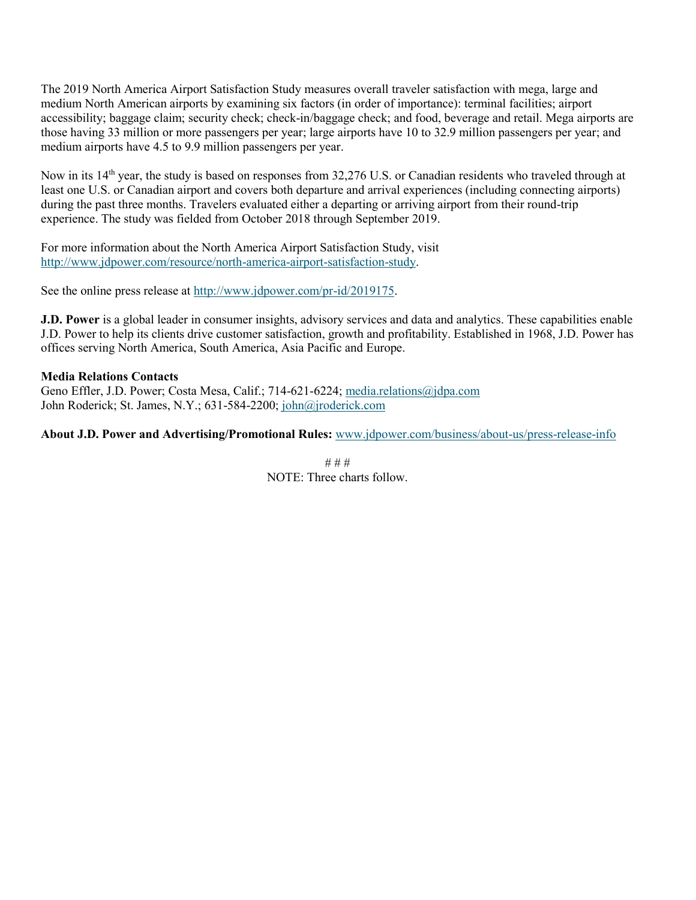The 2019 North America Airport Satisfaction Study measures overall traveler satisfaction with mega, large and medium North American airports by examining six factors (in order of importance): terminal facilities; airport accessibility; baggage claim; security check; check-in/baggage check; and food, beverage and retail. Mega airports are those having 33 million or more passengers per year; large airports have 10 to 32.9 million passengers per year; and medium airports have 4.5 to 9.9 million passengers per year.

Now in its 14<sup>th</sup> year, the study is based on responses from 32,276 U.S. or Canadian residents who traveled through at least one U.S. or Canadian airport and covers both departure and arrival experiences (including connecting airports) during the past three months. Travelers evaluated either a departing or arriving airport from their round-trip experience. The study was fielded from October 2018 through September 2019.

For more information about the North America Airport Satisfaction Study, visit [http://www.jdpower.com/resource/north-america-airport-satisfaction-study.](http://www.jdpower.com/resource/north-america-airport-satisfaction-study)

See the online press release at [http://www.jdpower.com/pr-id/2019175.](http://www.jdpower.com/pr-id/2019175)

**J.D. Power** is a global leader in consumer insights, advisory services and data and analytics. These capabilities enable J.D. Power to help its clients drive customer satisfaction, growth and profitability. Established in 1968, J.D. Power has offices serving North America, South America, Asia Pacific and Europe.

## **Media Relations Contacts**

Geno Effler, J.D. Power; Costa Mesa, Calif.; 714-621-6224; [media.relations@jdpa.com](mailto:media.relations@jdpa.com) John Roderick; St. James, N.Y.; 631-584-2200; [john@jroderick.com](mailto:john@jroderick.com)

**About J.D. Power and Advertising/Promotional Rules:** [www.jdpower.com/business/about-us/press-release-info](http://www.jdpower.com/business/about-us/press-release-info)

# # # NOTE: Three charts follow.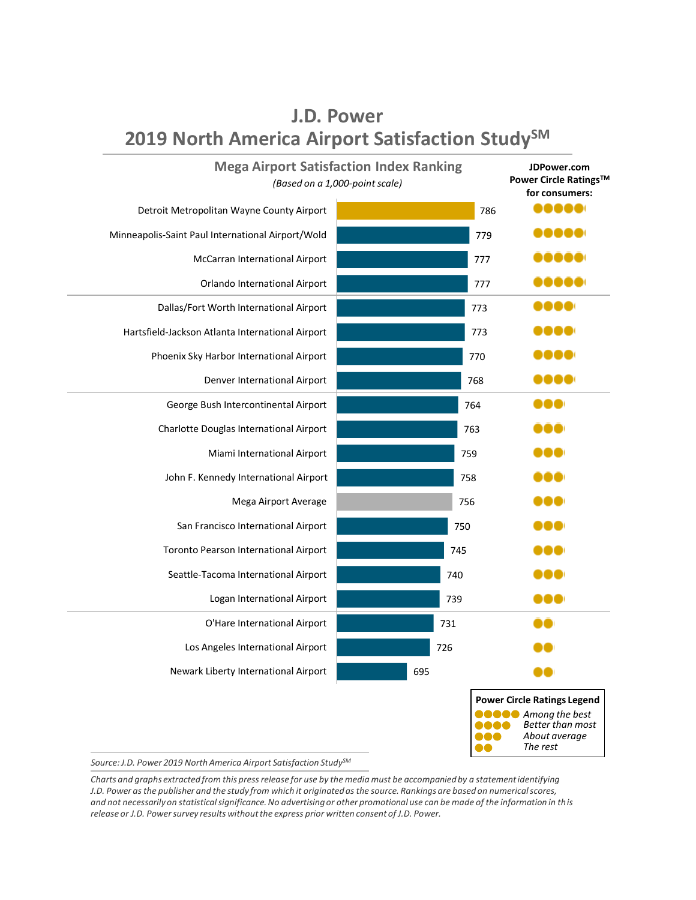

**J.D. Power**

*Source: J.D. Power 2019 North America Airport Satisfaction StudySM*

*Charts and graphs extracted from this press release for use by the media must be accompanied by a statement identifying J.D. Power as the publisher and the study from which it originated as the source. Rankings are based on numerical scores, and not necessarily on statistical significance. No advertising or other promotional use can be made of the information in this release or J.D. Power survey results without the express prior written consent of J.D. Power.*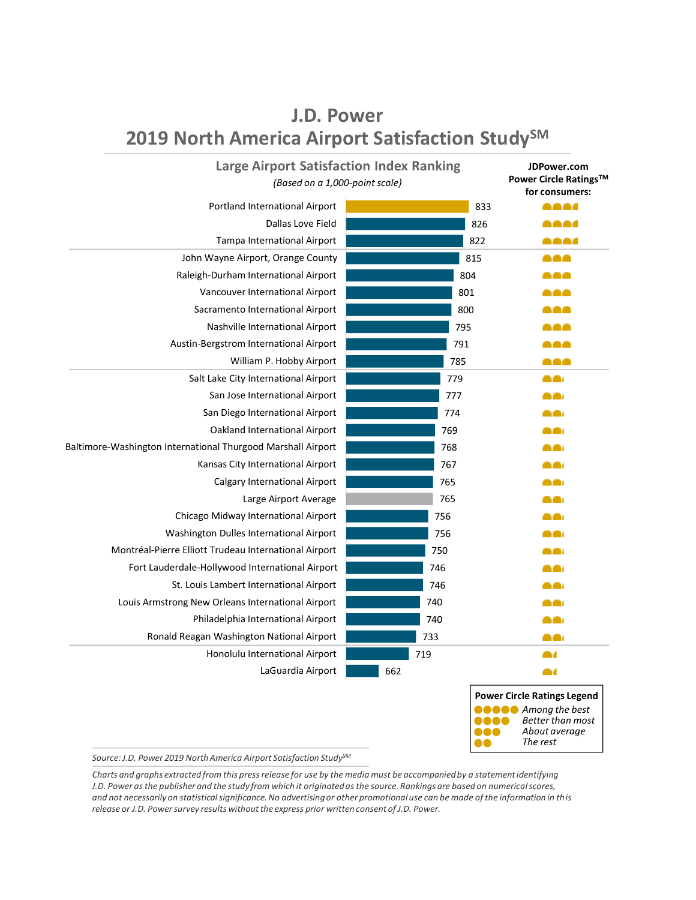| <b>Large Airport Satisfaction Index Ranking</b><br>(Based on a 1,000-point scale) | JDPower.com<br>Power Circle Ratings™<br>for consumers: |                                                                                                 |
|-----------------------------------------------------------------------------------|--------------------------------------------------------|-------------------------------------------------------------------------------------------------|
| Portland International Airport                                                    | 833                                                    | aaa                                                                                             |
| Dallas Love Field                                                                 | 826                                                    | aaad                                                                                            |
| Tampa International Airport                                                       | 822                                                    | aaad                                                                                            |
| John Wayne Airport, Orange County                                                 | 815                                                    | a a a                                                                                           |
| Raleigh-Durham International Airport                                              | 804                                                    | aaa                                                                                             |
| Vancouver International Airport                                                   | 801                                                    | a a a                                                                                           |
| Sacramento International Airport                                                  | 800                                                    | na a                                                                                            |
| Nashville International Airport                                                   | 795                                                    | aa t                                                                                            |
| Austin-Bergstrom International Airport                                            | 791                                                    | n de                                                                                            |
| William P. Hobby Airport                                                          | 785                                                    | aaa                                                                                             |
| Salt Lake City International Airport                                              | 779                                                    |                                                                                                 |
| San Jose International Airport                                                    | 777                                                    |                                                                                                 |
| San Diego International Airport                                                   | 774                                                    | - -                                                                                             |
| Oakland International Airport                                                     | 769                                                    |                                                                                                 |
| Baltimore-Washington International Thurgood Marshall Airport                      | 768                                                    | - 1                                                                                             |
| Kansas City International Airport                                                 | 767                                                    |                                                                                                 |
| Calgary International Airport                                                     | 765                                                    |                                                                                                 |
| Large Airport Average                                                             | 765                                                    |                                                                                                 |
| Chicago Midway International Airport                                              | 756                                                    |                                                                                                 |
| Washington Dulles International Airport                                           | 756                                                    | - 1                                                                                             |
| Montréal-Pierre Elliott Trudeau International Airport                             | 750                                                    |                                                                                                 |
| Fort Lauderdale-Hollywood International Airport                                   | 746                                                    |                                                                                                 |
| St. Louis Lambert International Airport                                           | 746                                                    |                                                                                                 |
| Louis Armstrong New Orleans International Airport                                 | 740                                                    |                                                                                                 |
| Philadelphia International Airport                                                | 740                                                    |                                                                                                 |
| Ronald Reagan Washington National Airport                                         | 733                                                    |                                                                                                 |
| Honolulu International Airport                                                    | 719                                                    | $\bullet$                                                                                       |
| LaGuardia Airport                                                                 | 662                                                    |                                                                                                 |
|                                                                                   | eee                                                    | <b>Power Circle Ratings Legend</b><br>• Among the best<br>Better than most<br><br>About average |

## **J.D. Power 2019 North America Airport Satisfaction StudySM**

*Source: J.D. Power 2019 North America Airport Satisfaction StudySM*

*Charts and graphs extracted from this press release for use by the media must be accompanied by a statement identifying J.D. Power as the publisher and the study from which it originated as the source. Rankings are based on numerical scores, and not necessarily on statistical significance. No advertising or other promotional use can be made of the information in this release or J.D. Power survey results without the express prior written consent of J.D. Power.* 

*The rest*

66